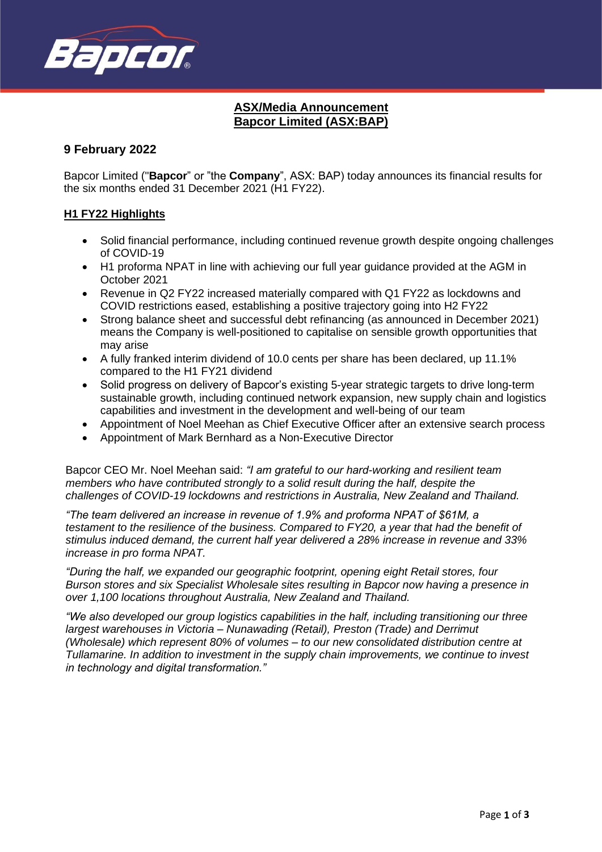

# **ASX/Media Announcement Bapcor Limited (ASX:BAP)**

## **9 February 2022**

Bapcor Limited ("**Bapcor**" or "the **Company**", ASX: BAP) today announces its financial results for the six months ended 31 December 2021 (H1 FY22).

## **H1 FY22 Highlights**

- Solid financial performance, including continued revenue growth despite ongoing challenges of COVID-19
- H1 proforma NPAT in line with achieving our full year guidance provided at the AGM in October 2021
- Revenue in Q2 FY22 increased materially compared with Q1 FY22 as lockdowns and COVID restrictions eased, establishing a positive trajectory going into H2 FY22
- Strong balance sheet and successful debt refinancing (as announced in December 2021) means the Company is well-positioned to capitalise on sensible growth opportunities that may arise
- A fully franked interim dividend of 10.0 cents per share has been declared, up 11.1% compared to the H1 FY21 dividend
- Solid progress on delivery of Bapcor's existing 5-year strategic targets to drive long-term sustainable growth, including continued network expansion, new supply chain and logistics capabilities and investment in the development and well-being of our team
- Appointment of Noel Meehan as Chief Executive Officer after an extensive search process
- Appointment of Mark Bernhard as a Non-Executive Director

Bapcor CEO Mr. Noel Meehan said: *"I am grateful to our hard-working and resilient team members who have contributed strongly to a solid result during the half, despite the challenges of COVID-19 lockdowns and restrictions in Australia, New Zealand and Thailand.* 

*"The team delivered an increase in revenue of 1.9% and proforma NPAT of \$61M, a testament to the resilience of the business. Compared to FY20, a year that had the benefit of stimulus induced demand, the current half year delivered a 28% increase in revenue and 33% increase in pro forma NPAT.*

*"During the half, we expanded our geographic footprint, opening eight Retail stores, four Burson stores and six Specialist Wholesale sites resulting in Bapcor now having a presence in over 1,100 locations throughout Australia, New Zealand and Thailand.*

*"We also developed our group logistics capabilities in the half, including transitioning our three largest warehouses in Victoria – Nunawading (Retail), Preston (Trade) and Derrimut (Wholesale) which represent 80% of volumes – to our new consolidated distribution centre at Tullamarine. In addition to investment in the supply chain improvements, we continue to invest in technology and digital transformation."*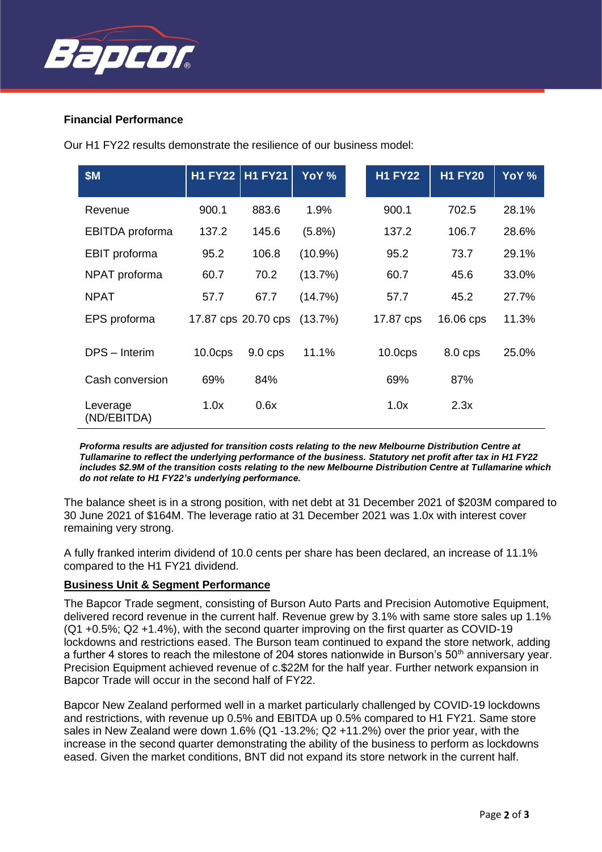

## **Financial Performance**

Our H1 FY22 results demonstrate the resilience of our business model:

| <b>\$M</b>              | <b>H1 FY22</b>      | <b>H1 FY21</b>      | YoY %      | <b>H1 FY22</b>      | <b>H1 FY20</b> | YoY % |
|-------------------------|---------------------|---------------------|------------|---------------------|----------------|-------|
| Revenue                 | 900.1               | 883.6               | 1.9%       | 900.1               | 702.5          | 28.1% |
| EBITDA proforma         | 137.2               | 145.6               | $(5.8\%)$  | 137.2               | 106.7          | 28.6% |
| EBIT proforma           | 95.2                | 106.8               | $(10.9\%)$ | 95.2                | 73.7           | 29.1% |
| NPAT proforma           | 60.7                | 70.2                | (13.7%)    | 60.7                | 45.6           | 33.0% |
| <b>NPAT</b>             | 57.7                | 67.7                | (14.7%)    | 57.7                | 45.2           | 27.7% |
| EPS proforma            |                     | 17.87 cps 20.70 cps | (13.7%)    | 17.87 cps           | 16.06 cps      | 11.3% |
| DPS - Interim           | 10.0 <sub>CPS</sub> | $9.0$ cps           | 11.1%      | 10.0 <sub>CPS</sub> | 8.0 cps        | 25.0% |
| Cash conversion         | 69%                 | 84%                 |            | 69%                 | 87%            |       |
| Leverage<br>(ND/EBITDA) | 1.0x                | 0.6x                |            | 1.0x                | 2.3x           |       |

*Proforma results are adjusted for transition costs relating to the new Melbourne Distribution Centre at Tullamarine to reflect the underlying performance of the business. Statutory net profit after tax in H1 FY22 includes \$2.9M of the transition costs relating to the new Melbourne Distribution Centre at Tullamarine which do not relate to H1 FY22's underlying performance.*

The balance sheet is in a strong position, with net debt at 31 December 2021 of \$203M compared to 30 June 2021 of \$164M. The leverage ratio at 31 December 2021 was 1.0x with interest cover remaining very strong.

A fully franked interim dividend of 10.0 cents per share has been declared, an increase of 11.1% compared to the H1 FY21 dividend.

#### **Business Unit & Segment Performance**

The Bapcor Trade segment, consisting of Burson Auto Parts and Precision Automotive Equipment, delivered record revenue in the current half. Revenue grew by 3.1% with same store sales up 1.1% (Q1 +0.5%; Q2 +1.4%), with the second quarter improving on the first quarter as COVID-19 lockdowns and restrictions eased. The Burson team continued to expand the store network, adding a further 4 stores to reach the milestone of 204 stores nationwide in Burson's 50<sup>th</sup> anniversary year. Precision Equipment achieved revenue of c.\$22M for the half year. Further network expansion in Bapcor Trade will occur in the second half of FY22.

Bapcor New Zealand performed well in a market particularly challenged by COVID-19 lockdowns and restrictions, with revenue up 0.5% and EBITDA up 0.5% compared to H1 FY21. Same store sales in New Zealand were down 1.6% (Q1 -13.2%; Q2 +11.2%) over the prior year, with the increase in the second quarter demonstrating the ability of the business to perform as lockdowns eased. Given the market conditions, BNT did not expand its store network in the current half.